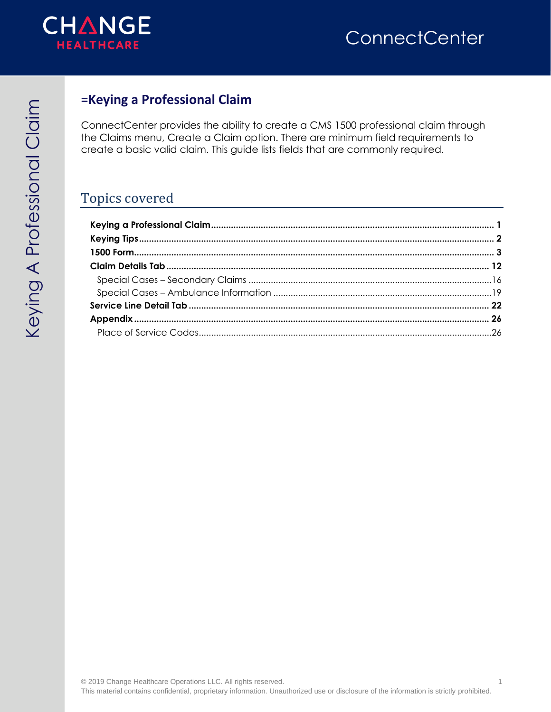

#### <span id="page-0-0"></span>**=Keying a Professional Claim**

ConnectCenter provides the ability to create a CMS 1500 professional claim through the Claims menu, Create a Claim option. There are minimum field requirements to create a basic valid claim. This guide lists fields that are commonly required.

#### Topics covered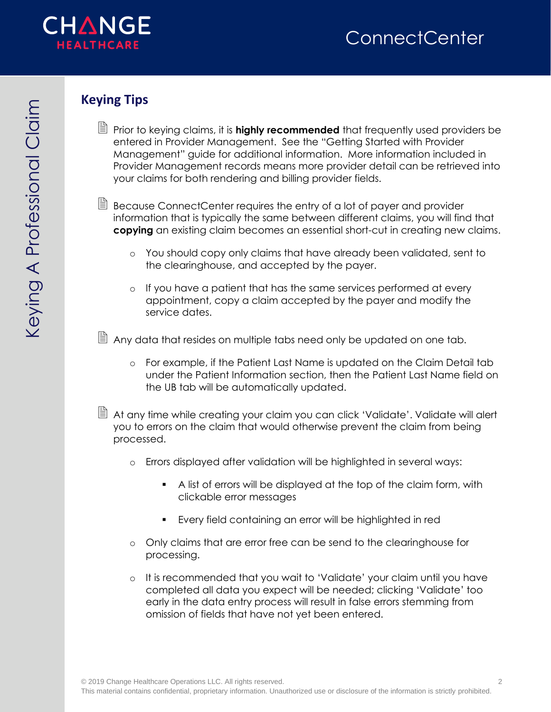

#### <span id="page-1-0"></span>**Keying Tips**

- Prior to keying claims, it is **highly recommended** that frequently used providers be entered in Provider Management. See the "Getting Started with Provider Management" guide for additional information. More information included in Provider Management records means more provider detail can be retrieved into your claims for both rendering and billing provider fields.
- $\Box$  Because ConnectCenter requires the entry of a lot of payer and provider information that is typically the same between different claims, you will find that **copying** an existing claim becomes an essential short-cut in creating new claims.
	- o You should copy only claims that have already been validated, sent to the clearinghouse, and accepted by the payer.
	- o If you have a patient that has the same services performed at every appointment, copy a claim accepted by the payer and modify the service dates.

 $\Box$  Any data that resides on multiple tabs need only be updated on one tab.

- o For example, if the Patient Last Name is updated on the Claim Detail tab under the Patient Information section, then the Patient Last Name field on the UB tab will be automatically updated.
- $\Box$  At any time while creating your claim you can click 'Validate'. Validate will alert you to errors on the claim that would otherwise prevent the claim from being processed.
	- Errors displayed after validation will be highlighted in several ways:
		- A list of errors will be displayed at the top of the claim form, with clickable error messages
		- Every field containing an error will be highlighted in red
	- o Only claims that are error free can be send to the clearinghouse for processing.
	- o It is recommended that you wait to 'Validate' your claim until you have completed all data you expect will be needed; clicking 'Validate' too early in the data entry process will result in false errors stemming from omission of fields that have not yet been entered.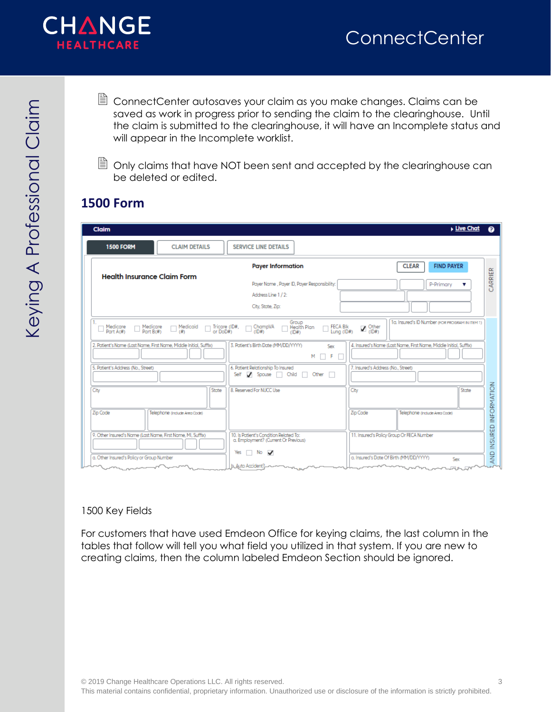

 $\Box$  ConnectCenter autosaves your claim as you make changes. Claims can be saved as work in progress prior to sending the claim to the clearinghouse. Until the claim is submitted to the clearinghouse, it will have an Incomplete status and will appear in the Incomplete worklist.

 $\Box$  Only claims that have NOT been sent and accepted by the clearinghouse can be deleted or edited.

#### <span id="page-2-0"></span>**1500 Form**

| <b>Live Chat</b><br><b>Claim</b>                                                                                                                                                                                                              | Q                   |  |
|-----------------------------------------------------------------------------------------------------------------------------------------------------------------------------------------------------------------------------------------------|---------------------|--|
| <b>1500 FORM</b><br><b>CLAIM DETAILS</b><br><b>SERVICE LINE DETAILS</b>                                                                                                                                                                       |                     |  |
| <b>CLEAR</b><br><b>FIND PAYER</b><br><b>Payer Information</b>                                                                                                                                                                                 |                     |  |
| <b>Health Insurance Claim Form</b><br>Payer Name, Payer ID, Payer Responsibility:<br>P-Primary<br>Address Line 1/2:                                                                                                                           | CARRIER             |  |
| City, State, Zip:                                                                                                                                                                                                                             |                     |  |
| 1a. Insured's ID Number (FOR PROGRAM IN ITEM 1)<br>Group<br>Health Plan<br>$\Box$ Medicare<br>Part A(#)<br>$\Box$ Medicare<br>$\Box$ Medicaid $\Box$ Tricare (ID#, $\Box$ ChampVA<br>$\Box$ FECA Blk<br>Lung (ID#)<br>$\sum_{(ID#)}$<br>(1D#) |                     |  |
| 2. Patient's Name (Last Name, First Name, Middle Initial, Suffix)<br>3. Patient's Birth Date (MM/DD/YYYY)<br>4. Insured's Name (Last Name, First Name, Middle Initial, Suffix)<br>Sex<br>$M \Box F \Box$                                      |                     |  |
| 5. Patient's Address (No., Street)<br>7. Insured's Address (No., Street)<br>6. Patient Relationship To Insured<br>Self Spouse   Child  <br>Other I                                                                                            |                     |  |
| 8. Reserved For NUCC Use<br>City<br>State<br>City<br>State                                                                                                                                                                                    | INSURED INFORMATION |  |
| Zip Code<br>Zip Code<br>Telephone (indude Area Code)<br>Telephone (indude Area Code)                                                                                                                                                          |                     |  |
| 9. Other Insured's Name (Last Name, First Name, MI, Suffix)<br>10. Is Patient's Condition Related To:<br>11. Insured's Policy Group Or FECA Number<br>a. Employment? (Current Or Previous)                                                    |                     |  |
| Yes<br>No.<br>✓<br>a. Other Insured's Policy or Group Number<br>a. Insured's Date Of Birth (MM/DD/YYYY)<br>Sex<br>b. Auto Accident?<br><b>Service Control</b>                                                                                 | <b>QNA</b>          |  |

#### 1500 Key Fields

For customers that have used Emdeon Office for keying claims, the last column in the tables that follow will tell you what field you utilized in that system. If you are new to creating claims, then the column labeled Emdeon Section should be ignored.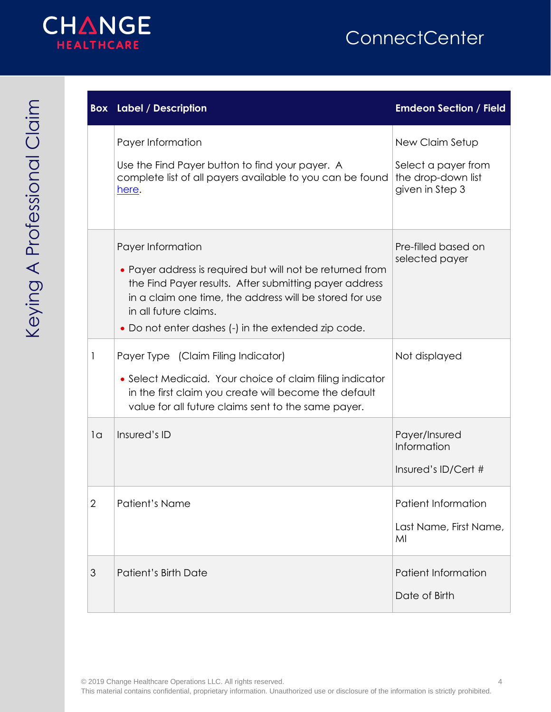

|                | <b>Box</b> Label / Description                                                                                                                                                                                                                                                      | <b>Emdeon Section / Field</b>                                                   |
|----------------|-------------------------------------------------------------------------------------------------------------------------------------------------------------------------------------------------------------------------------------------------------------------------------------|---------------------------------------------------------------------------------|
|                | Payer Information<br>Use the Find Payer button to find your payer. A<br>complete list of all payers available to you can be found<br>here.                                                                                                                                          | New Claim Setup<br>Select a payer from<br>the drop-down list<br>given in Step 3 |
|                | Payer Information<br>• Payer address is required but will not be returned from<br>the Find Payer results. After submitting payer address<br>in a claim one time, the address will be stored for use<br>in all future claims.<br>• Do not enter dashes (-) in the extended zip code. | Pre-filled based on<br>selected payer                                           |
| 1              | Payer Type (Claim Filing Indicator)<br>• Select Medicaid. Your choice of claim filing indicator<br>in the first claim you create will become the default<br>value for all future claims sent to the same payer.                                                                     | Not displayed                                                                   |
| 1 <sub>a</sub> | Insured's ID                                                                                                                                                                                                                                                                        | Payer/Insured<br>Information<br>Insured's ID/Cert #                             |
| $\mathbf{2}$   | <b>Patient's Name</b>                                                                                                                                                                                                                                                               | <b>Patient Information</b><br>Last Name, First Name,<br>MI                      |
| 3              | <b>Patient's Birth Date</b>                                                                                                                                                                                                                                                         | <b>Patient Information</b><br>Date of Birth                                     |

Keying A Professional Claim Keying A Professional Claim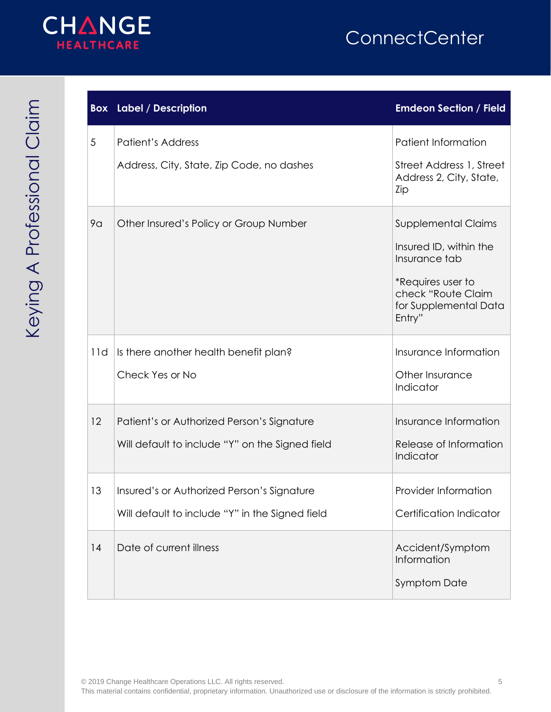

|                | <b>Box</b> Label / Description                                                                | <b>Emdeon Section / Field</b>                                                                                                                       |
|----------------|-----------------------------------------------------------------------------------------------|-----------------------------------------------------------------------------------------------------------------------------------------------------|
| 5              | <b>Patient's Address</b><br>Address, City, State, Zip Code, no dashes                         | Patient Information<br>Street Address 1, Street<br>Address 2, City, State,<br>Zip                                                                   |
| 9 <sub>a</sub> | Other Insured's Policy or Group Number                                                        | <b>Supplemental Claims</b><br>Insured ID, within the<br>Insurance tab<br>*Requires user to<br>check "Route Claim<br>for Supplemental Data<br>Entry" |
| 11d            | Is there another health benefit plan?<br>Check Yes or No                                      | Insurance Information<br>Other Insurance<br>Indicator                                                                                               |
| 12             | Patient's or Authorized Person's Signature<br>Will default to include "Y" on the Signed field | Insurance Information<br>Release of Information<br>Indicator                                                                                        |
| 13             | Insured's or Authorized Person's Signature<br>Will default to include "Y" in the Signed field | Provider Information<br>Certification Indicator                                                                                                     |
| 14             | Date of current illness                                                                       | Accident/Symptom<br>Information<br><b>Symptom Date</b>                                                                                              |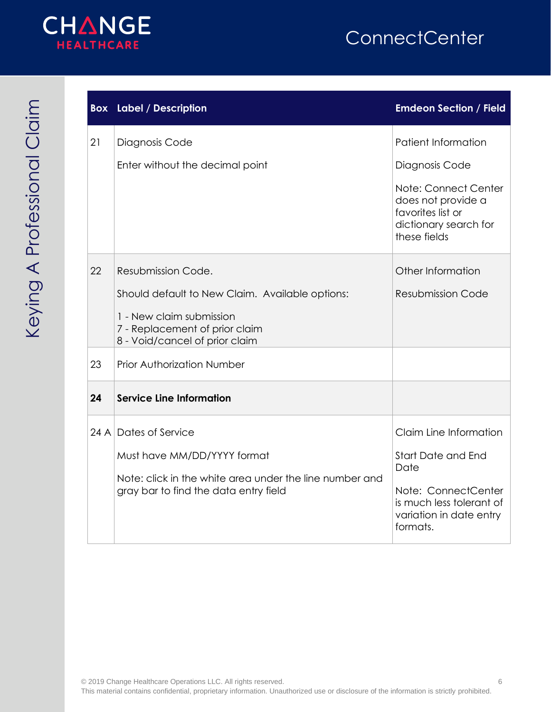

|      | <b>Box</b> Label / Description                                                               | <b>Emdeon Section / Field</b>                                                                            |
|------|----------------------------------------------------------------------------------------------|----------------------------------------------------------------------------------------------------------|
| 21   | Diagnosis Code                                                                               | Patient Information                                                                                      |
|      | Enter without the decimal point                                                              | Diagnosis Code                                                                                           |
|      |                                                                                              | Note: Connect Center<br>does not provide a<br>favorites list or<br>dictionary search for<br>these fields |
| 22   | Resubmission Code.                                                                           | Other Information                                                                                        |
|      | Should default to New Claim. Available options:                                              | <b>Resubmission Code</b>                                                                                 |
|      | 1 - New claim submission<br>7 - Replacement of prior claim<br>8 - Void/cancel of prior claim |                                                                                                          |
| 23   | <b>Prior Authorization Number</b>                                                            |                                                                                                          |
| 24   | <b>Service Line Information</b>                                                              |                                                                                                          |
| 24 A | Dates of Service                                                                             | Claim Line Information                                                                                   |
|      | Must have MM/DD/YYYY format                                                                  | <b>Start Date and End</b><br>Date                                                                        |
|      | Note: click in the white area under the line number and                                      | Note: ConnectCenter                                                                                      |
|      | gray bar to find the data entry field                                                        | is much less tolerant of<br>variation in date entry<br>formats.                                          |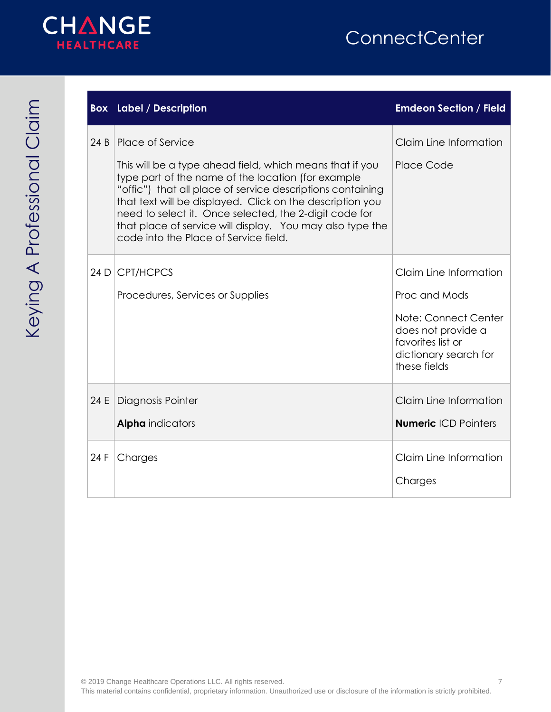

|      | <b>Box</b> Label / Description                                                                                                                                                                                                                                                                                                                                                                                                | <b>Emdeon Section / Field</b>                                                                                                                       |
|------|-------------------------------------------------------------------------------------------------------------------------------------------------------------------------------------------------------------------------------------------------------------------------------------------------------------------------------------------------------------------------------------------------------------------------------|-----------------------------------------------------------------------------------------------------------------------------------------------------|
| 24 B | Place of Service<br>This will be a type ahead field, which means that if you<br>type part of the name of the location (for example<br>"offic") that all place of service descriptions containing<br>that text will be displayed. Click on the description you<br>need to select it. Once selected, the 2-digit code for<br>that place of service will display. You may also type the<br>code into the Place of Service field. | Claim Line Information<br><b>Place Code</b>                                                                                                         |
| 24 D | <b>CPT/HCPCS</b><br>Procedures, Services or Supplies                                                                                                                                                                                                                                                                                                                                                                          | Claim Line Information<br>Proc and Mods<br>Note: Connect Center<br>does not provide a<br>favorites list or<br>dictionary search for<br>these fields |
| 24 E | Diagnosis Pointer<br><b>Alpha</b> indicators                                                                                                                                                                                                                                                                                                                                                                                  | Claim Line Information<br><b>Numeric</b> ICD Pointers                                                                                               |
| 24 F | Charges                                                                                                                                                                                                                                                                                                                                                                                                                       | Claim Line Information<br>Charges                                                                                                                   |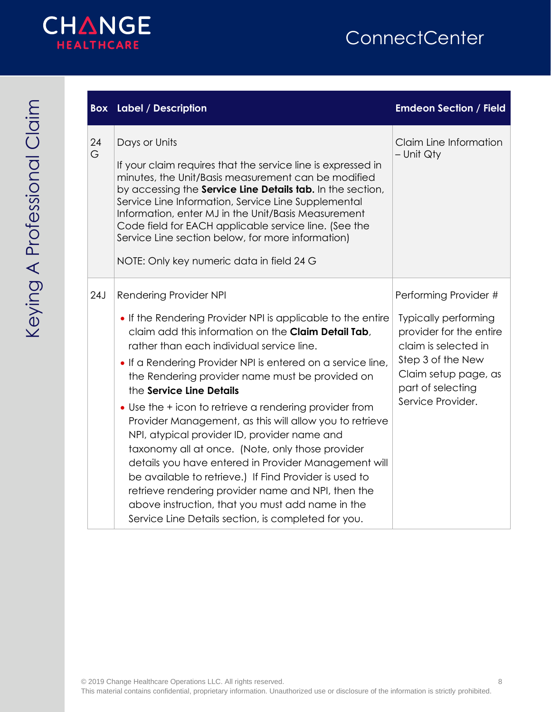

|         | <b>Box</b> Label / Description                                                                                                                                                                                                                                                                                                                                                                                                                                                                                                                                                                                                                                                                                                                                                                                                                      | <b>Emdeon Section / Field</b>                                                                                                                                                                  |
|---------|-----------------------------------------------------------------------------------------------------------------------------------------------------------------------------------------------------------------------------------------------------------------------------------------------------------------------------------------------------------------------------------------------------------------------------------------------------------------------------------------------------------------------------------------------------------------------------------------------------------------------------------------------------------------------------------------------------------------------------------------------------------------------------------------------------------------------------------------------------|------------------------------------------------------------------------------------------------------------------------------------------------------------------------------------------------|
| 24<br>G | Days or Units<br>If your claim requires that the service line is expressed in<br>minutes, the Unit/Basis measurement can be modified<br>by accessing the <b>Service Line Details tab.</b> In the section,<br>Service Line Information, Service Line Supplemental<br>Information, enter MJ in the Unit/Basis Measurement<br>Code field for EACH applicable service line. (See the<br>Service Line section below, for more information)<br>NOTE: Only key numeric data in field 24 G                                                                                                                                                                                                                                                                                                                                                                  | Claim Line Information<br>- Unit Qty                                                                                                                                                           |
| 24J     | Rendering Provider NPI<br>• If the Rendering Provider NPI is applicable to the entire<br>claim add this information on the Claim Detail Tab,<br>rather than each individual service line.<br>. If a Rendering Provider NPI is entered on a service line,<br>the Rendering provider name must be provided on<br>the Service Line Details<br>• Use the + icon to retrieve a rendering provider from<br>Provider Management, as this will allow you to retrieve<br>NPI, atypical provider ID, provider name and<br>taxonomy all at once. (Note, only those provider<br>details you have entered in Provider Management will<br>be available to retrieve.) If Find Provider is used to<br>retrieve rendering provider name and NPI, then the<br>above instruction, that you must add name in the<br>Service Line Details section, is completed for you. | Performing Provider #<br><b>Typically performing</b><br>provider for the entire<br>claim is selected in<br>Step 3 of the New<br>Claim setup page, as<br>part of selecting<br>Service Provider. |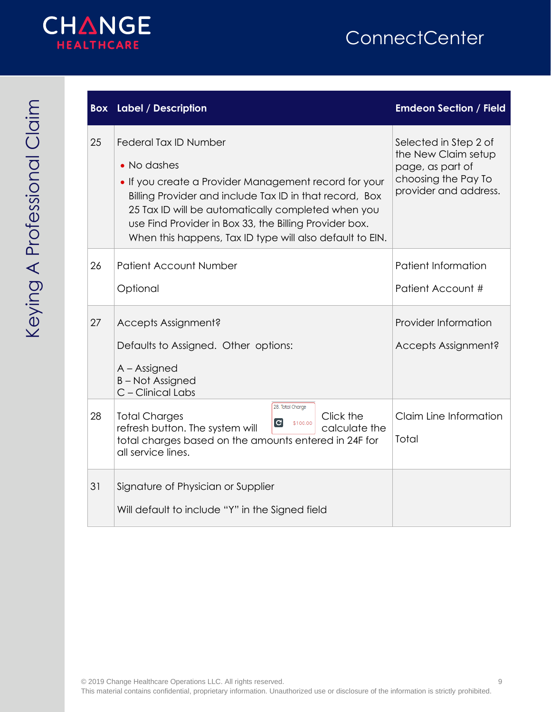

|    | <b>Box</b> Label / Description                                                                                                                                                                                                                                                                                                       | <b>Emdeon Section / Field</b>                                                                                    |
|----|--------------------------------------------------------------------------------------------------------------------------------------------------------------------------------------------------------------------------------------------------------------------------------------------------------------------------------------|------------------------------------------------------------------------------------------------------------------|
| 25 | Federal Tax ID Number<br>• No dashes<br>• If you create a Provider Management record for your<br>Billing Provider and include Tax ID in that record, Box<br>25 Tax ID will be automatically completed when you<br>use Find Provider in Box 33, the Billing Provider box.<br>When this happens, Tax ID type will also default to EIN. | Selected in Step 2 of<br>the New Claim setup<br>page, as part of<br>choosing the Pay To<br>provider and address. |
| 26 | <b>Patient Account Number</b><br>Optional                                                                                                                                                                                                                                                                                            | Patient Information<br>Patient Account #                                                                         |
| 27 | Accepts Assignment?<br>Defaults to Assigned. Other options:<br>A - Assigned<br><b>B-Not Assigned</b><br>C - Clinical Labs                                                                                                                                                                                                            | Provider Information<br>Accepts Assignment?                                                                      |
| 28 | 28. Total Charge<br>Click the<br><b>Total Charges</b><br>$\overline{\mathbf{G}}$<br>\$100.00<br>refresh button. The system will<br>calculate the<br>total charges based on the amounts entered in 24F for<br>all service lines.                                                                                                      | Claim Line Information<br>Total                                                                                  |
| 31 | Signature of Physician or Supplier<br>Will default to include "Y" in the Signed field                                                                                                                                                                                                                                                |                                                                                                                  |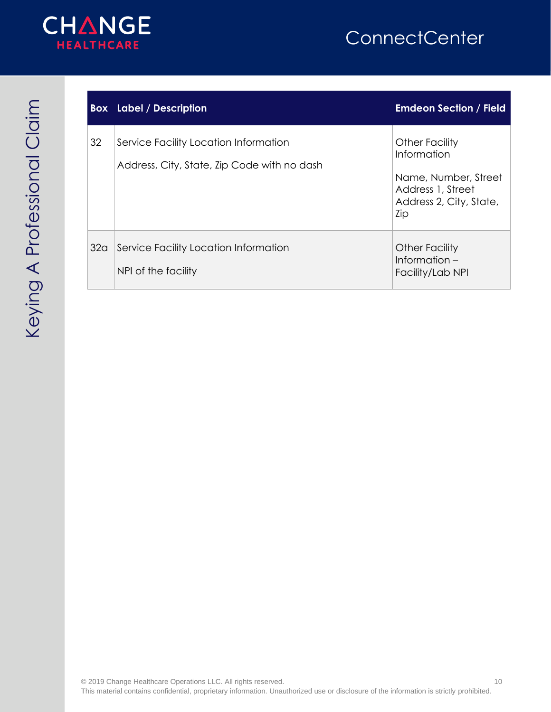

|                 | <b>Box</b> Label / Description                                                       | <b>Emdeon Section / Field</b>                                                                                |
|-----------------|--------------------------------------------------------------------------------------|--------------------------------------------------------------------------------------------------------------|
| 32              | Service Facility Location Information<br>Address, City, State, Zip Code with no dash | Other Facility<br>Information<br>Name, Number, Street<br>Address 1, Street<br>Address 2, City, State,<br>Zip |
| 32 <sub>a</sub> | Service Facility Location Information<br>NPI of the facility                         | Other Facility<br>Information $-$<br>Facility/Lab NPI                                                        |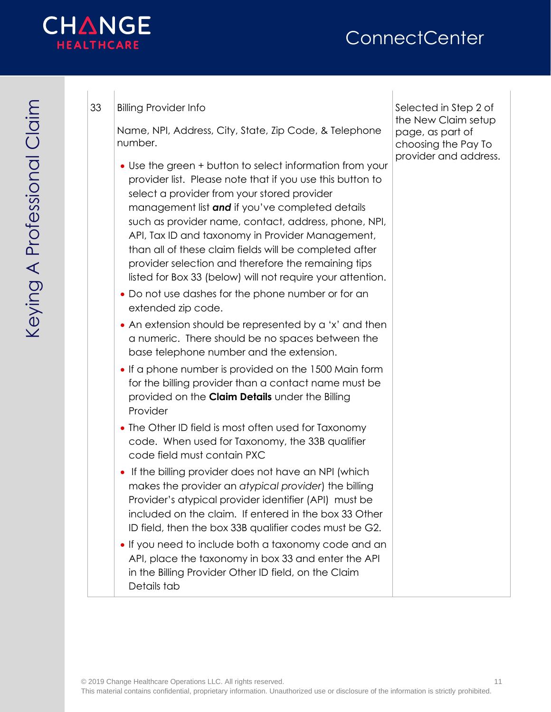

#### 33 Billing Provider Info

Name, NPI, Address, City, State, Zip Code, & Telephone number.

- Use the green + button to select information from your provider list. Please note that if you use this button to select a provider from your stored provider management list *and* if you've completed details such as provider name, contact, address, phone, NPI, API, Tax ID and taxonomy in Provider Management, than all of these claim fields will be completed after provider selection and therefore the remaining tips listed for Box 33 (below) will not require your attention.
- Do not use dashes for the phone number or for an extended zip code.
- An extension should be represented by a 'x' and then a numeric. There should be no spaces between the base telephone number and the extension.
- If a phone number is provided on the 1500 Main form for the billing provider than a contact name must be provided on the **Claim Details** under the Billing Provider
- The Other ID field is most often used for Taxonomy code. When used for Taxonomy, the 33B qualifier code field must contain PXC
- If the billing provider does not have an NPI (which makes the provider an *atypical provider*) the billing Provider's atypical provider identifier (API) must be included on the claim. If entered in the box 33 Other ID field, then the box 33B qualifier codes must be G2.
- If you need to include both a taxonomy code and an API, place the taxonomy in box 33 and enter the API in the Billing Provider Other ID field, on the Claim Details tab

Selected in Step 2 of the New Claim setup page, as part of choosing the Pay To provider and address.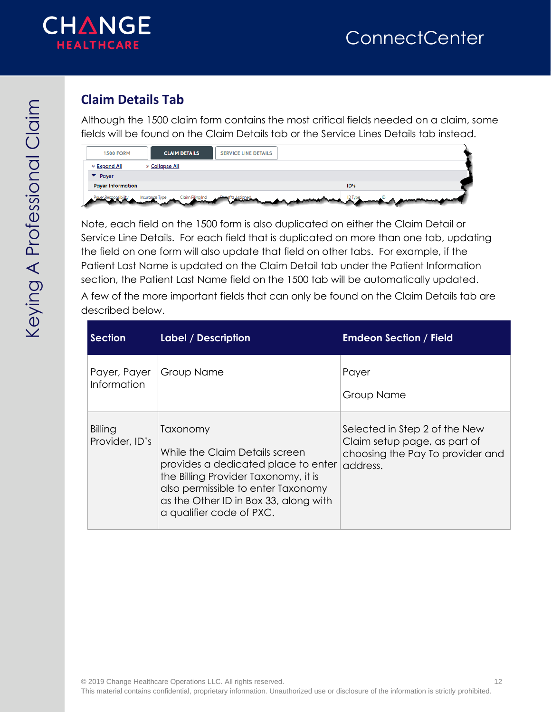

#### <span id="page-11-0"></span>**Claim Details Tab**

Although the 1500 claim form contains the most critical fields needed on a claim, some fields will be found on the Claim Details tab or the Service Lines Details tab instead.

| <b>CLAIM DETAILS</b><br><b>SERVICE LINE DETAILS</b><br><b>1500 FORM</b> |      |
|-------------------------------------------------------------------------|------|
| ≫ Expand All<br>» Collapse All                                          |      |
| $\blacktriangleright$ Payer                                             |      |
| <b>Payer Information</b>                                                | ID's |
| fits Assianed.<br>Insurance Type Claim Filing Ind<br><b>DType</b>       |      |

Note, each field on the 1500 form is also duplicated on either the Claim Detail or Service Line Details. For each field that is duplicated on more than one tab, updating the field on one form will also update that field on other tabs. For example, if the Patient Last Name is updated on the Claim Detail tab under the Patient Information section, the Patient Last Name field on the 1500 tab will be automatically updated.

A few of the more important fields that can only be found on the Claim Details tab are described below.

| <b>Section</b>              | <b>Label / Description</b>                                                                                                                                                                                                           | <b>Emdeon Section / Field</b>                                                                                 |
|-----------------------------|--------------------------------------------------------------------------------------------------------------------------------------------------------------------------------------------------------------------------------------|---------------------------------------------------------------------------------------------------------------|
| Payer, Payer<br>Information | <b>Group Name</b>                                                                                                                                                                                                                    | Payer<br>Group Name                                                                                           |
| Billing<br>Provider, ID's   | Taxonomy<br>While the Claim Details screen<br>provides a dedicated place to enter<br>the Billing Provider Taxonomy, it is<br>also permissible to enter Taxonomy<br>as the Other ID in Box 33, along with<br>a qualifier code of PXC. | Selected in Step 2 of the New<br>Claim setup page, as part of<br>choosing the Pay To provider and<br>address. |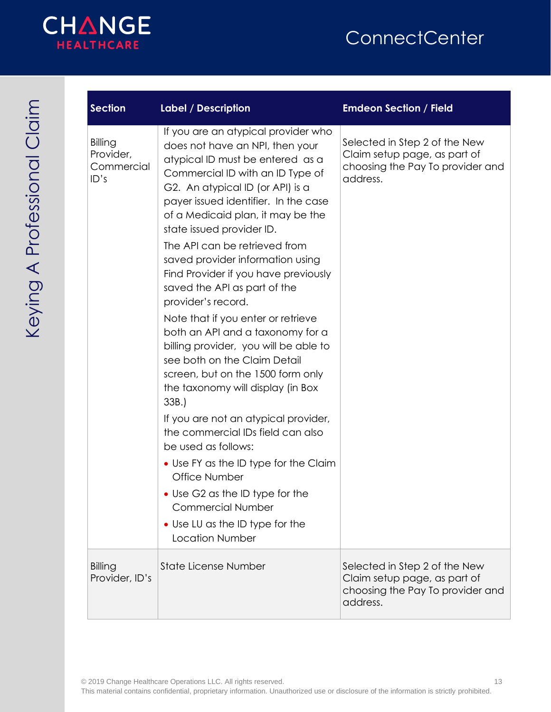

| <b>Section</b>                             | <b>Label / Description</b>                                                                                                                                                                                                                                                                                                                                                                                                                                                                                                                                                                                                                                                                                                                                                                                                                                                                             | <b>Emdeon Section / Field</b>                                                                                 |
|--------------------------------------------|--------------------------------------------------------------------------------------------------------------------------------------------------------------------------------------------------------------------------------------------------------------------------------------------------------------------------------------------------------------------------------------------------------------------------------------------------------------------------------------------------------------------------------------------------------------------------------------------------------------------------------------------------------------------------------------------------------------------------------------------------------------------------------------------------------------------------------------------------------------------------------------------------------|---------------------------------------------------------------------------------------------------------------|
| Billing<br>Provider,<br>Commercial<br>ID's | If you are an atypical provider who<br>does not have an NPI, then your<br>atypical ID must be entered as a<br>Commercial ID with an ID Type of<br>G2. An atypical ID (or API) is a<br>payer issued identifier. In the case<br>of a Medicaid plan, it may be the<br>state issued provider ID.<br>The API can be retrieved from<br>saved provider information using<br>Find Provider if you have previously<br>saved the API as part of the<br>provider's record.<br>Note that if you enter or retrieve<br>both an API and a taxonomy for a<br>billing provider, you will be able to<br>see both on the Claim Detail<br>screen, but on the 1500 form only<br>the taxonomy will display (in Box<br>33B.)<br>If you are not an atypical provider,<br>the commercial IDs field can also<br>be used as follows:<br>• Use FY as the ID type for the Claim<br>Office Number<br>• Use G2 as the ID type for the | Selected in Step 2 of the New<br>Claim setup page, as part of<br>choosing the Pay To provider and<br>address. |
|                                            | <b>Commercial Number</b>                                                                                                                                                                                                                                                                                                                                                                                                                                                                                                                                                                                                                                                                                                                                                                                                                                                                               |                                                                                                               |
|                                            | • Use LU as the ID type for the<br>Location Number                                                                                                                                                                                                                                                                                                                                                                                                                                                                                                                                                                                                                                                                                                                                                                                                                                                     |                                                                                                               |
| Billing<br>Provider, ID's                  | State License Number                                                                                                                                                                                                                                                                                                                                                                                                                                                                                                                                                                                                                                                                                                                                                                                                                                                                                   | Selected in Step 2 of the New<br>Claim setup page, as part of<br>choosing the Pay To provider and<br>address. |

This material contains confidential, proprietary information. Unauthorized use or disclosure of the information is strictly prohibited.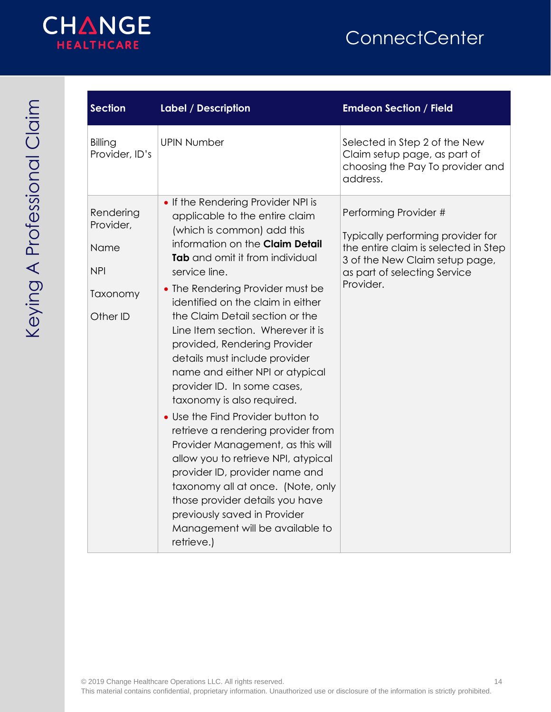

| <b>Section</b>                                                       | <b>Label / Description</b>                                                                                                                                                                                                                                                                                                                                                                                                                                                                                                                                                                                                                                                                                                                                                                                                                                    | <b>Emdeon Section / Field</b>                                                                                                                                                     |
|----------------------------------------------------------------------|---------------------------------------------------------------------------------------------------------------------------------------------------------------------------------------------------------------------------------------------------------------------------------------------------------------------------------------------------------------------------------------------------------------------------------------------------------------------------------------------------------------------------------------------------------------------------------------------------------------------------------------------------------------------------------------------------------------------------------------------------------------------------------------------------------------------------------------------------------------|-----------------------------------------------------------------------------------------------------------------------------------------------------------------------------------|
| Billing<br>Provider, ID's                                            | <b>UPIN Number</b>                                                                                                                                                                                                                                                                                                                                                                                                                                                                                                                                                                                                                                                                                                                                                                                                                                            | Selected in Step 2 of the New<br>Claim setup page, as part of<br>choosing the Pay To provider and<br>address.                                                                     |
| Rendering<br>Provider,<br>Name<br><b>NPI</b><br>Taxonomy<br>Other ID | • If the Rendering Provider NPI is<br>applicable to the entire claim<br>(which is common) add this<br>information on the Claim Detail<br>Tab and omit it from individual<br>service line.<br>• The Rendering Provider must be<br>identified on the claim in either<br>the Claim Detail section or the<br>Line Item section. Wherever it is<br>provided, Rendering Provider<br>details must include provider<br>name and either NPI or atypical<br>provider ID. In some cases,<br>taxonomy is also required.<br>• Use the Find Provider button to<br>retrieve a rendering provider from<br>Provider Management, as this will<br>allow you to retrieve NPI, atypical<br>provider ID, provider name and<br>taxonomy all at once. (Note, only<br>those provider details you have<br>previously saved in Provider<br>Management will be available to<br>retrieve.) | Performing Provider #<br>Typically performing provider for<br>the entire claim is selected in Step<br>3 of the New Claim setup page,<br>as part of selecting Service<br>Provider. |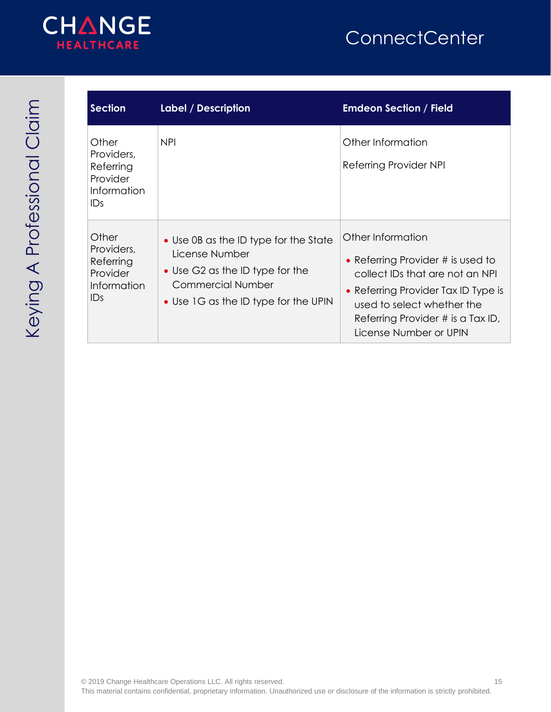

| <b>Section</b>                                                      | Label / Description                                                                                                                                            | <b>Emdeon Section / Field</b>                                                                                                                                                                                                 |
|---------------------------------------------------------------------|----------------------------------------------------------------------------------------------------------------------------------------------------------------|-------------------------------------------------------------------------------------------------------------------------------------------------------------------------------------------------------------------------------|
| Other<br>Providers,<br>Referring<br>Provider<br>Information<br>IDs. | <b>NPI</b>                                                                                                                                                     | Other Information<br>Referring Provider NPI                                                                                                                                                                                   |
| Other<br>Providers,<br>Referring<br>Provider<br>Information<br>IDs. | • Use OB as the ID type for the State<br>License Number<br>• Use G2 as the ID type for the<br><b>Commercial Number</b><br>• Use 1G as the ID type for the UPIN | Other Information<br>• Referring Provider # is used to<br>collect IDs that are not an NPI<br>• Referring Provider Tax ID Type is<br>used to select whether the<br>Referring Provider # is a Tax ID,<br>License Number or UPIN |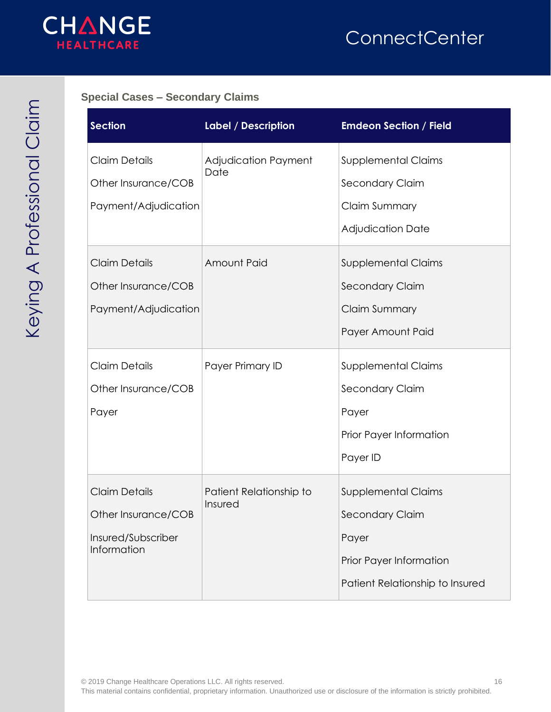

#### <span id="page-15-0"></span>**Special Cases – Secondary Claims**

| <b>Section</b>                                                                   | <b>Label / Description</b>         | <b>Emdeon Section / Field</b>                                                                                        |
|----------------------------------------------------------------------------------|------------------------------------|----------------------------------------------------------------------------------------------------------------------|
| <b>Claim Details</b><br>Other Insurance/COB<br>Payment/Adjudication              | Adjudication Payment<br>Date       | <b>Supplemental Claims</b><br>Secondary Claim<br>Claim Summary<br><b>Adjudication Date</b>                           |
| <b>Claim Details</b><br>Other Insurance/COB<br>Payment/Adjudication              | <b>Amount Paid</b>                 | <b>Supplemental Claims</b><br>Secondary Claim<br><b>Claim Summary</b><br>Payer Amount Paid                           |
| <b>Claim Details</b><br>Other Insurance/COB<br>Payer                             | Payer Primary ID                   | <b>Supplemental Claims</b><br>Secondary Claim<br>Payer<br>Prior Payer Information<br>Payer ID                        |
| <b>Claim Details</b><br>Other Insurance/COB<br>Insured/Subscriber<br>Information | Patient Relationship to<br>Insured | <b>Supplemental Claims</b><br>Secondary Claim<br>Payer<br>Prior Payer Information<br>Patient Relationship to Insured |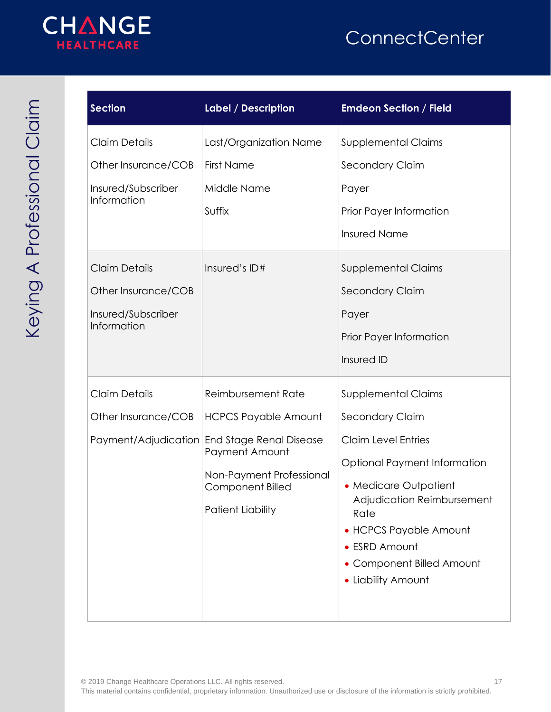

| <b>Section</b>                                                                                                                                                       | <b>Label / Description</b>                                                                                                                                                                             | <b>Emdeon Section / Field</b>                                                                                                                                                                                                                                                          |  |  |  |
|----------------------------------------------------------------------------------------------------------------------------------------------------------------------|--------------------------------------------------------------------------------------------------------------------------------------------------------------------------------------------------------|----------------------------------------------------------------------------------------------------------------------------------------------------------------------------------------------------------------------------------------------------------------------------------------|--|--|--|
| <b>Claim Details</b><br>Other Insurance/COB<br>Insured/Subscriber<br>Information<br><b>Claim Details</b><br>Other Insurance/COB<br>Insured/Subscriber<br>Information | Last/Organization Name<br><b>First Name</b><br>Middle Name<br>Suffix<br>Insured's ID#                                                                                                                  | <b>Supplemental Claims</b><br>Secondary Claim<br>Payer<br>Prior Payer Information<br><b>Insured Name</b><br><b>Supplemental Claims</b><br>Secondary Claim<br>Payer<br>Prior Payer Information                                                                                          |  |  |  |
| <b>Claim Details</b><br>Other Insurance/COB                                                                                                                          | Reimbursement Rate<br><b>HCPCS Payable Amount</b><br>Payment/Adjudication End Stage Renal Disease<br>Payment Amount<br>Non-Payment Professional<br><b>Component Billed</b><br><b>Patient Liability</b> | Insured ID<br><b>Supplemental Claims</b><br>Secondary Claim<br><b>Claim Level Entries</b><br>Optional Payment Information<br>• Medicare Outpatient<br>Adjudication Reimbursement<br>Rate<br>• HCPCS Payable Amount<br>• ESRD Amount<br>• Component Billed Amount<br>• Liability Amount |  |  |  |

© 2019 Change Healthcare Operations LLC. All rights reserved. 17 This material contains confidential, proprietary information. Unauthorized use or disclosure of the information is strictly prohibited.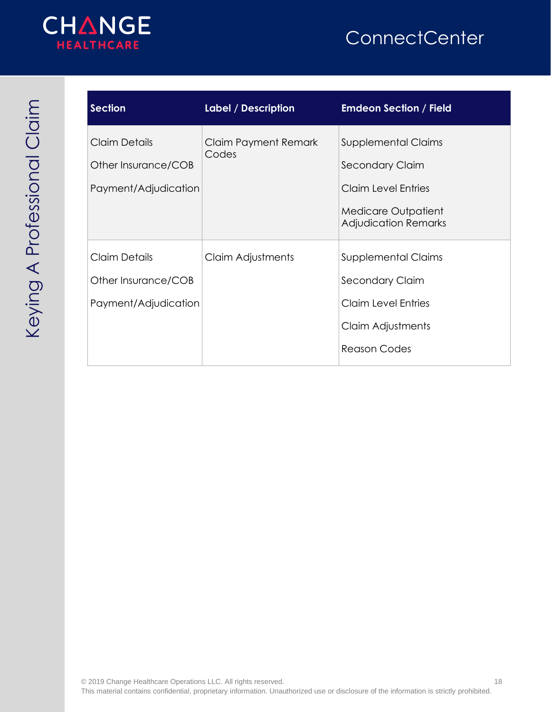

| <b>Section</b>       | <b>Label / Description</b>    | <b>Emdeon Section / Field</b>                      |
|----------------------|-------------------------------|----------------------------------------------------|
| <b>Claim Details</b> | Claim Payment Remark<br>Codes | <b>Supplemental Claims</b>                         |
| Other Insurance/COB  |                               | Secondary Claim                                    |
| Payment/Adjudication |                               | <b>Claim Level Entries</b>                         |
|                      |                               | Medicare Outpatient<br><b>Adjudication Remarks</b> |
| Claim Details        | <b>Claim Adjustments</b>      | <b>Supplemental Claims</b>                         |
| Other Insurance/COB  |                               | Secondary Claim                                    |
| Payment/Adjudication |                               | <b>Claim Level Entries</b>                         |
|                      |                               | Claim Adjustments                                  |
|                      |                               | <b>Reason Codes</b>                                |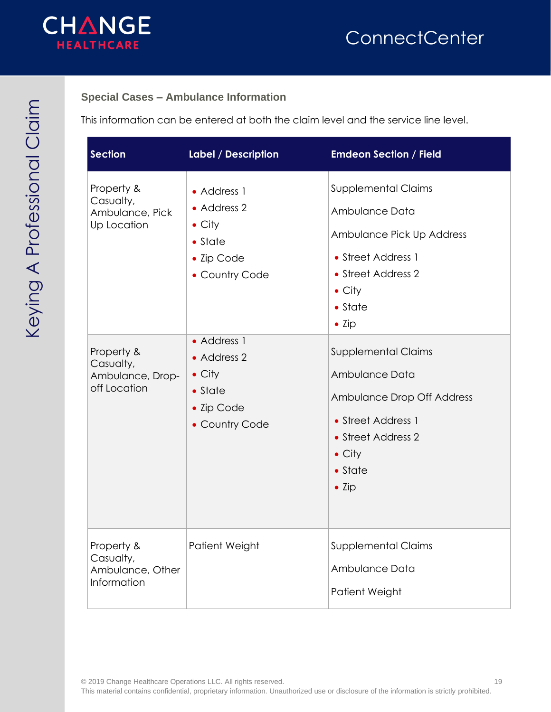

#### <span id="page-18-0"></span>**Special Cases – Ambulance Information**

This information can be entered at both the claim level and the service line level.

| <b>Section</b>                                                                                                           | <b>Label / Description</b>                                                                                                                                                                         | <b>Emdeon Section / Field</b>                                                                                                                                                                                                                                                                                                                               |
|--------------------------------------------------------------------------------------------------------------------------|----------------------------------------------------------------------------------------------------------------------------------------------------------------------------------------------------|-------------------------------------------------------------------------------------------------------------------------------------------------------------------------------------------------------------------------------------------------------------------------------------------------------------------------------------------------------------|
| Property &<br>Casualty,<br>Ambulance, Pick<br>Up Location<br>Property &<br>Casualty,<br>Ambulance, Drop-<br>off Location | • Address 1<br>• Address 2<br>$\bullet$ City<br>$\bullet$ State<br>• Zip Code<br>• Country Code<br>• Address 1<br>• Address 2<br>$\bullet$ City<br>$\bullet$ State<br>• Zip Code<br>• Country Code | <b>Supplemental Claims</b><br>Ambulance Data<br>Ambulance Pick Up Address<br>• Street Address 1<br>• Street Address 2<br>$\bullet$ City<br>$\bullet$ State<br>$\bullet$ Zip<br><b>Supplemental Claims</b><br>Ambulance Data<br>Ambulance Drop Off Address<br>• Street Address 1<br>• Street Address 2<br>$\bullet$ City<br>$\bullet$ State<br>$\bullet$ Zip |
| Property &<br>Casualty,<br>Ambulance, Other<br>Information                                                               | Patient Weight                                                                                                                                                                                     | <b>Supplemental Claims</b><br>Ambulance Data<br>Patient Weight                                                                                                                                                                                                                                                                                              |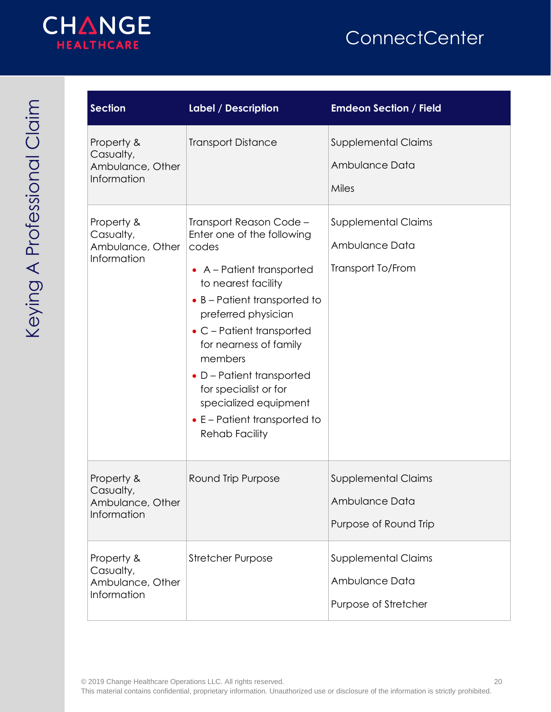

| <b>Section</b>                                             | <b>Label / Description</b>                                                                                                                                                                                                                                                                                                                                                                                  | <b>Emdeon Section / Field</b>                                         |
|------------------------------------------------------------|-------------------------------------------------------------------------------------------------------------------------------------------------------------------------------------------------------------------------------------------------------------------------------------------------------------------------------------------------------------------------------------------------------------|-----------------------------------------------------------------------|
| Property &<br>Casualty,<br>Ambulance, Other<br>Information | <b>Transport Distance</b>                                                                                                                                                                                                                                                                                                                                                                                   | <b>Supplemental Claims</b><br>Ambulance Data<br>Miles                 |
| Property &<br>Casualty,<br>Ambulance, Other<br>Information | Transport Reason Code -<br>Enter one of the following<br>codes<br>• A – Patient transported<br>to nearest facility<br>$\bullet$ B – Patient transported to<br>preferred physician<br>$\bullet$ C – Patient transported<br>for nearness of family<br>members<br>• D – Patient transported<br>for specialist or for<br>specialized equipment<br>$\bullet$ E – Patient transported to<br><b>Rehab Facility</b> | <b>Supplemental Claims</b><br>Ambulance Data<br>Transport To/From     |
| Property &<br>Casualty,<br>Ambulance, Other<br>Information | Round Trip Purpose                                                                                                                                                                                                                                                                                                                                                                                          | <b>Supplemental Claims</b><br>Ambulance Data<br>Purpose of Round Trip |
| Property &<br>Casualty,<br>Ambulance, Other<br>Information | <b>Stretcher Purpose</b>                                                                                                                                                                                                                                                                                                                                                                                    | <b>Supplemental Claims</b><br>Ambulance Data<br>Purpose of Stretcher  |

© 2019 Change Healthcare Operations LLC. All rights reserved. 20 This material contains confidential, proprietary information. Unauthorized use or disclosure of the information is strictly prohibited.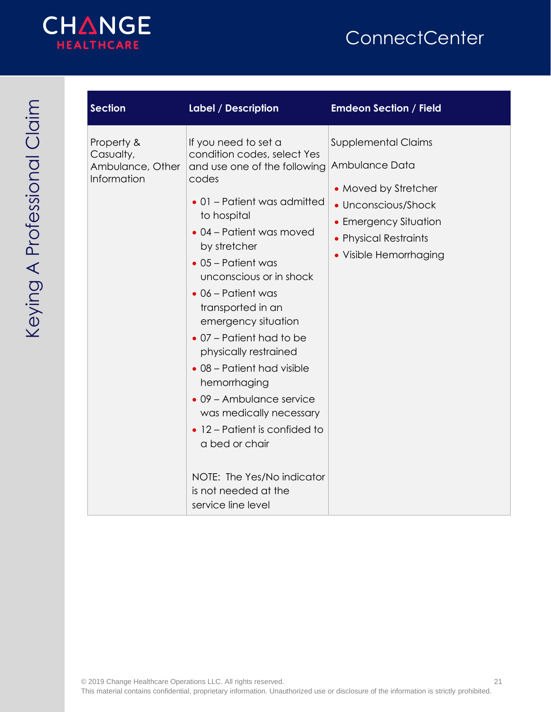

| <b>Section</b>                                             | <b>Label / Description</b>                                                                                                                                                                                                                                                                                                                                                                                                                                                                                                                                                                                         | <b>Emdeon Section / Field</b>                                                                                                                                           |
|------------------------------------------------------------|--------------------------------------------------------------------------------------------------------------------------------------------------------------------------------------------------------------------------------------------------------------------------------------------------------------------------------------------------------------------------------------------------------------------------------------------------------------------------------------------------------------------------------------------------------------------------------------------------------------------|-------------------------------------------------------------------------------------------------------------------------------------------------------------------------|
| Property &<br>Casualty,<br>Ambulance, Other<br>Information | If you need to set a<br>condition codes, select Yes<br>and use one of the following<br>codes<br>• 01 - Patient was admitted<br>to hospital<br>• 04 – Patient was moved<br>by stretcher<br>$\bullet$ 05 - Patient was<br>unconscious or in shock<br>$\bullet$ 06 - Patient was<br>transported in an<br>emergency situation<br>• 07 – Patient had to be<br>physically restrained<br>• 08 - Patient had visible<br>hemorrhaging<br>• 09 - Ambulance service<br>was medically necessary<br>• 12 – Patient is confided to<br>a bed or chair<br>NOTE: The Yes/No indicator<br>is not needed at the<br>service line level | <b>Supplemental Claims</b><br>Ambulance Data<br>• Moved by Stretcher<br>• Unconscious/Shock<br>• Emergency Situation<br>• Physical Restraints<br>• Visible Hemorrhaging |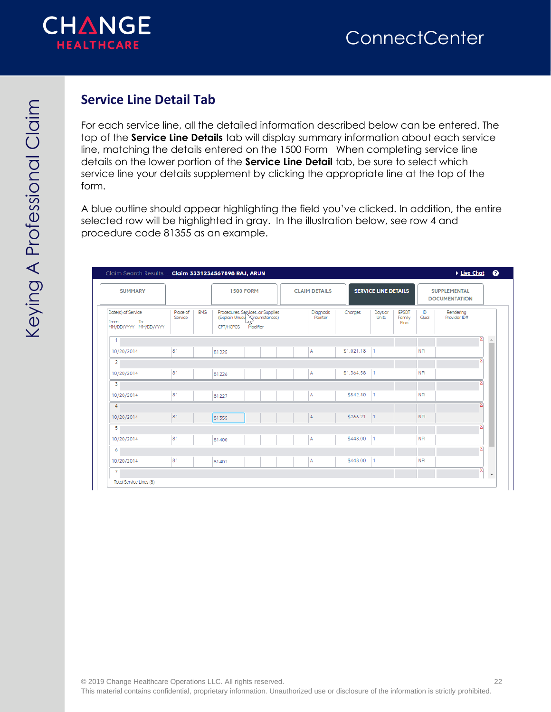

#### <span id="page-21-0"></span>**Service Line Detail Tab**

For each service line, all the detailed information described below can be entered. The top of the **Service Line Details** tab will display summary information about each service line, matching the details entered on the 1500 Form When completing service line details on the lower portion of the **Service Line Detail** tab, be sure to select which service line your details supplement by clicking the appropriate line at the top of the form.

A blue outline should appear highlighting the field you've clicked. In addition, the entire selected row will be highlighted in gray. In the illustration below, see row 4 and procedure code 81355 as an example.

| <b>SUMMARY</b>                                              |                     |            |                                                                                 | <b>1500 FORM</b> |  | <b>CLAIM DETAILS</b> |            | <b>SERVICE LINE DETAILS</b> |                                |            | <b>SUPPLEMENTAL</b><br><b>DOCUMENTATION</b> |   |          |
|-------------------------------------------------------------|---------------------|------------|---------------------------------------------------------------------------------|------------------|--|----------------------|------------|-----------------------------|--------------------------------|------------|---------------------------------------------|---|----------|
| Date(s) of Service<br>From:<br>To:<br>ΜΜ/DD/ΥΥΥΥ ΜΜ/DD/ΥΥΥΥ | Place of<br>Service | <b>EMG</b> | Procedures, Services, or Supplies<br>(Explain Unusu Circumstances)<br>CPT/HCPCS | Modifier         |  | Diagnosis<br>Pointer | Charges    | Days or<br>Units            | <b>EPSDT</b><br>Family<br>Plan | ID<br>Qual | Rendering<br>Provider ID#                   |   |          |
| 1                                                           |                     |            |                                                                                 |                  |  |                      |            |                             |                                |            |                                             | X | $\Delta$ |
| 10/20/2014                                                  | 81                  |            | 81225                                                                           |                  |  | Α                    | \$1,021.18 | $\mathbf{1}$                |                                | <b>NPI</b> |                                             |   |          |
| $\overline{2}$                                              |                     |            |                                                                                 |                  |  |                      |            |                             |                                |            |                                             |   |          |
| 10/20/2014                                                  | 81                  |            | 81226                                                                           |                  |  | A                    | \$1,364.58 | $\vert$ 1                   |                                | <b>NPI</b> |                                             |   |          |
| $\overline{3}$                                              |                     |            |                                                                                 |                  |  |                      |            |                             |                                |            |                                             | × |          |
| 10/20/2014                                                  | 81                  |            | 81227                                                                           |                  |  | $\overline{A}$       | \$542.40   | $\vert$ 1                   |                                | <b>NPI</b> |                                             |   |          |
| 4                                                           |                     |            |                                                                                 |                  |  |                      |            |                             |                                |            |                                             |   |          |
| 10/20/2014                                                  | 81                  |            | 81355                                                                           |                  |  | $\overline{A}$       | \$266.21   | $\vert$ 1                   |                                | <b>NPI</b> |                                             |   |          |
| 5                                                           |                     |            |                                                                                 |                  |  |                      |            |                             |                                |            |                                             | X |          |
| 10/20/2014                                                  | 81                  |            | 81400                                                                           |                  |  | A                    | \$448.00   | l 1                         |                                | <b>NPI</b> |                                             |   |          |
| 6                                                           |                     |            |                                                                                 |                  |  |                      |            |                             |                                |            |                                             | x |          |
| 10/20/2014                                                  | 81                  |            | 81401                                                                           |                  |  | A                    | \$448.00   | $\vert$ 1                   |                                | <b>NPI</b> |                                             |   |          |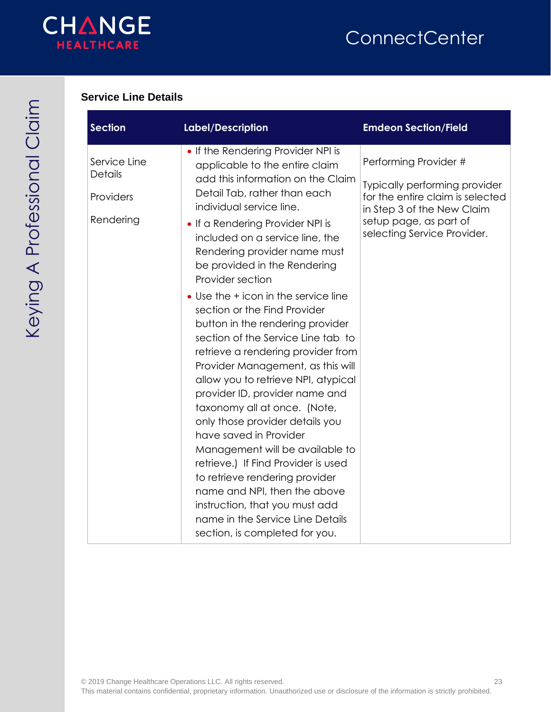

#### **Service Line Details**

| <b>Section</b>                                           | <b>Label/Description</b>                                                                                                                                                                                                                                                                                                                                                                                                                                                                                                                                                                                                                                                                                                                                                                                                                                                                                                                                                                | <b>Emdeon Section/Field</b>                                                                                                                                                       |
|----------------------------------------------------------|-----------------------------------------------------------------------------------------------------------------------------------------------------------------------------------------------------------------------------------------------------------------------------------------------------------------------------------------------------------------------------------------------------------------------------------------------------------------------------------------------------------------------------------------------------------------------------------------------------------------------------------------------------------------------------------------------------------------------------------------------------------------------------------------------------------------------------------------------------------------------------------------------------------------------------------------------------------------------------------------|-----------------------------------------------------------------------------------------------------------------------------------------------------------------------------------|
| Service Line<br><b>Details</b><br>Providers<br>Rendering | • If the Rendering Provider NPI is<br>applicable to the entire claim<br>add this information on the Claim<br>Detail Tab, rather than each<br>individual service line.<br>• If a Rendering Provider NPI is<br>included on a service line, the<br>Rendering provider name must<br>be provided in the Rendering<br>Provider section<br>• Use the + icon in the service line<br>section or the Find Provider<br>button in the rendering provider<br>section of the Service Line tab to<br>retrieve a rendering provider from<br>Provider Management, as this will<br>allow you to retrieve NPI, atypical<br>provider ID, provider name and<br>taxonomy all at once. (Note,<br>only those provider details you<br>have saved in Provider<br>Management will be available to<br>retrieve.) If Find Provider is used<br>to retrieve rendering provider<br>name and NPI, then the above<br>instruction, that you must add<br>name in the Service Line Details<br>section, is completed for you. | Performing Provider #<br>Typically performing provider<br>for the entire claim is selected<br>in Step 3 of the New Claim<br>setup page, as part of<br>selecting Service Provider. |
|                                                          |                                                                                                                                                                                                                                                                                                                                                                                                                                                                                                                                                                                                                                                                                                                                                                                                                                                                                                                                                                                         |                                                                                                                                                                                   |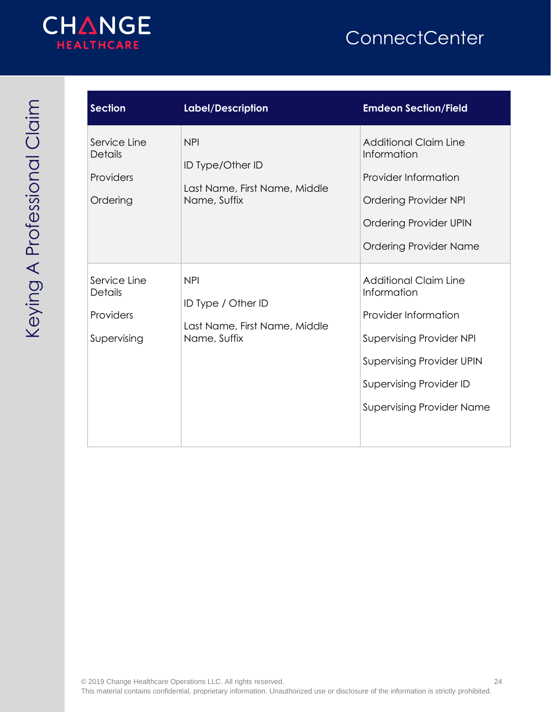

| <b>Section</b>                                             | <b>Label/Description</b>                                                          | <b>Emdeon Section/Field</b>                                                                                                                                                                               |
|------------------------------------------------------------|-----------------------------------------------------------------------------------|-----------------------------------------------------------------------------------------------------------------------------------------------------------------------------------------------------------|
| Service Line<br><b>Details</b><br>Providers<br>Ordering    | <b>NPI</b><br>ID Type/Other ID<br>Last Name, First Name, Middle<br>Name, Suffix   | <b>Additional Claim Line</b><br>Information<br>Provider Information<br>Ordering Provider NPI<br><b>Ordering Provider UPIN</b><br><b>Ordering Provider Name</b>                                            |
| Service Line<br><b>Details</b><br>Providers<br>Supervising | <b>NPI</b><br>ID Type / Other ID<br>Last Name, First Name, Middle<br>Name, Suffix | <b>Additional Claim Line</b><br>Information<br>Provider Information<br><b>Supervising Provider NPI</b><br><b>Supervising Provider UPIN</b><br>Supervising Provider ID<br><b>Supervising Provider Name</b> |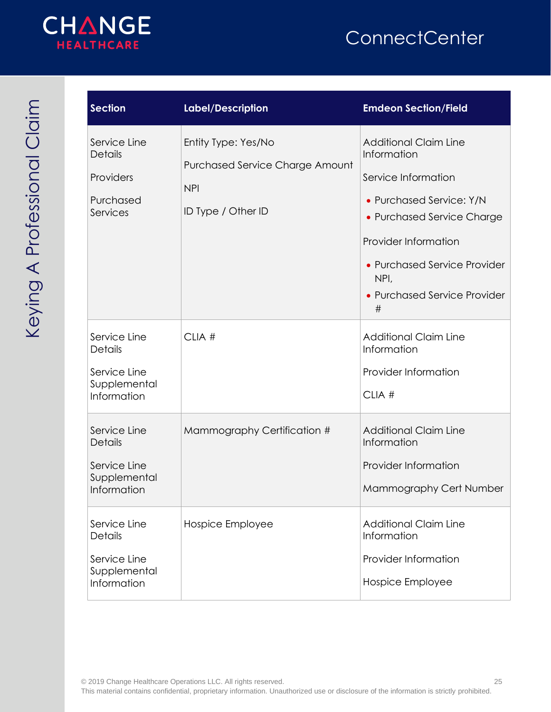

| <b>Section</b>                                                                | <b>Label/Description</b>                                                                          | <b>Emdeon Section/Field</b>                                                                                                                                                                                                       |
|-------------------------------------------------------------------------------|---------------------------------------------------------------------------------------------------|-----------------------------------------------------------------------------------------------------------------------------------------------------------------------------------------------------------------------------------|
| Service Line<br><b>Details</b><br>Providers<br>Purchased<br>Services          | Entity Type: Yes/No<br><b>Purchased Service Charge Amount</b><br><b>NPI</b><br>ID Type / Other ID | <b>Additional Claim Line</b><br>Information<br>Service Information<br>• Purchased Service: Y/N<br>• Purchased Service Charge<br>Provider Information<br>• Purchased Service Provider<br>NPI,<br>• Purchased Service Provider<br># |
| Service Line<br><b>Details</b><br>Service Line<br>Supplemental<br>Information | CLIA #                                                                                            | <b>Additional Claim Line</b><br>Information<br>Provider Information<br>CLIA #                                                                                                                                                     |
| Service Line<br><b>Details</b><br>Service Line<br>Supplemental<br>Information | Mammography Certification #                                                                       | <b>Additional Claim Line</b><br>Information<br>Provider Information<br>Mammography Cert Number                                                                                                                                    |
| Service Line<br><b>Details</b><br>Service Line<br>Supplemental<br>Information | Hospice Employee                                                                                  | <b>Additional Claim Line</b><br>Information<br>Provider Information<br>Hospice Employee                                                                                                                                           |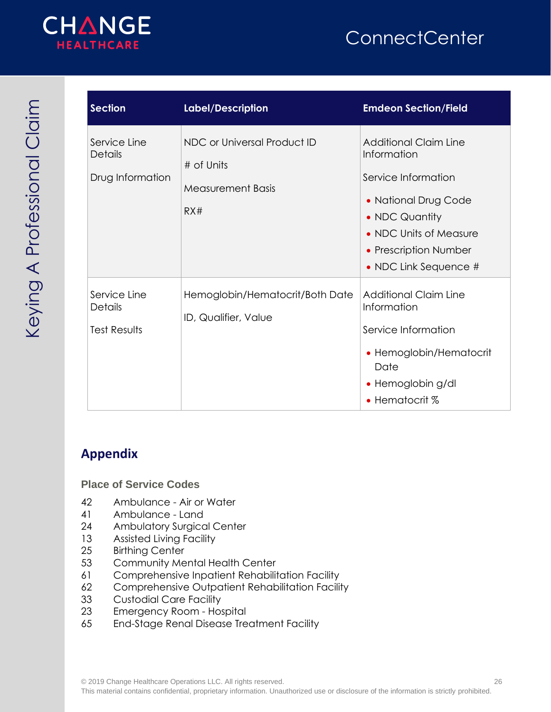

| <b>Section</b>                                        | <b>Label/Description</b>                                              | <b>Emdeon Section/Field</b>                                                                                                                                                              |
|-------------------------------------------------------|-----------------------------------------------------------------------|------------------------------------------------------------------------------------------------------------------------------------------------------------------------------------------|
| Service Line<br><b>Details</b><br>Drug Information    | NDC or Universal Product ID<br># of Units<br>Measurement Basis<br>RX# | <b>Additional Claim Line</b><br>Information<br>Service Information<br>• National Drug Code<br>• NDC Quantity<br>• NDC Units of Measure<br>• Prescription Number<br>• NDC Link Sequence # |
| Service Line<br><b>Details</b><br><b>Test Results</b> | Hemoglobin/Hematocrit/Both Date<br>ID, Qualifier, Value               | <b>Additional Claim Line</b><br>Information<br>Service Information<br>• Hemoglobin/Hematocrit<br>Date<br>• Hemoglobin g/dl<br>• Hematocrit %                                             |

#### <span id="page-25-0"></span>**Appendix**

<span id="page-25-1"></span>**Place of Service Codes**

- 42 Ambulance Air or Water
- 41 Ambulance Land
- 24 Ambulatory Surgical Center
- 13 Assisted Living Facility
- 25 Birthing Center
- 53 Community Mental Health Center
- 61 Comprehensive Inpatient Rehabilitation Facility
- 62 Comprehensive Outpatient Rehabilitation Facility
- 33 Custodial Care Facility
- 23 Emergency Room Hospital
- 65 End-Stage Renal Disease Treatment Facility